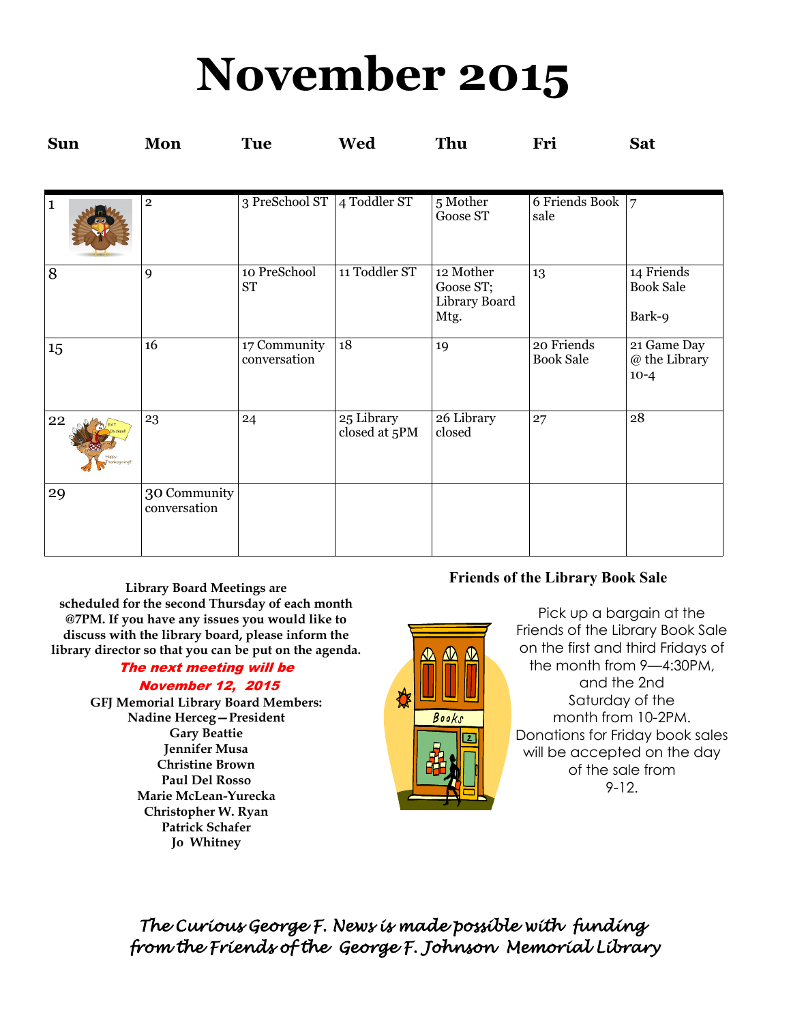## **November 2015**

| <b>Sun</b>         | Mon                          | <b>Tue</b>                   | Wed                         | Thu                                             | Fri                            | <b>Sat</b>                               |
|--------------------|------------------------------|------------------------------|-----------------------------|-------------------------------------------------|--------------------------------|------------------------------------------|
|                    |                              |                              |                             |                                                 |                                |                                          |
| 1                  | $\overline{2}$               | 3 PreSchool ST               | 4 Toddler ST                | 5 Mother<br>Goose ST                            | 6 Friends Book<br>sale         | $\overline{7}$                           |
| 8                  | 9                            | 10 PreSchool<br><b>ST</b>    | 11 Toddler ST               | 12 Mother<br>Goose ST;<br>Library Board<br>Mtg. | 13                             | 14 Friends<br><b>Book Sale</b><br>Bark-9 |
| 15                 | 16                           | 17 Community<br>conversation | 18                          | 19                                              | 20 Friends<br><b>Book Sale</b> | 21 Game Day<br>@ the Library<br>$10-4$   |
| 22<br>anksgiving!! | 23                           | 24                           | 25 Library<br>closed at 5PM | 26 Library<br>closed                            | 27                             | 28                                       |
| 29                 | 30 Community<br>conversation |                              |                             |                                                 |                                |                                          |

**Library Board Meetings are scheduled for the second Thursday of each month @7PM. If you have any issues you would like to discuss with the library board, please inform the library director so that you can be put on the agenda.** 

## The next meeting will be

#### November 12, 2015

**GFJ Memorial Library Board Members: Nadine Herceg—President Gary Beattie Jennifer Musa Christine Brown Paul Del Rosso Marie McLean-Yurecka Christopher W. Ryan Patrick Schafer Jo Whitney**

#### **Friends of the Library Book Sale**

Pick up a bargain at the Friends of the Library Book Sale on the first and third Fridays of the month from 9—4:30PM, and the 2nd Saturday of the month from 10-2PM. Donations for Friday book sales will be accepted on the day of the sale from 9-12.

*The Curious George F. News is made possible with funding from the Friends of the George F. Johnson Memorial Library* 

₩

 $\bigcirc$   $\bigcirc$   $\bigcirc$ 

Books